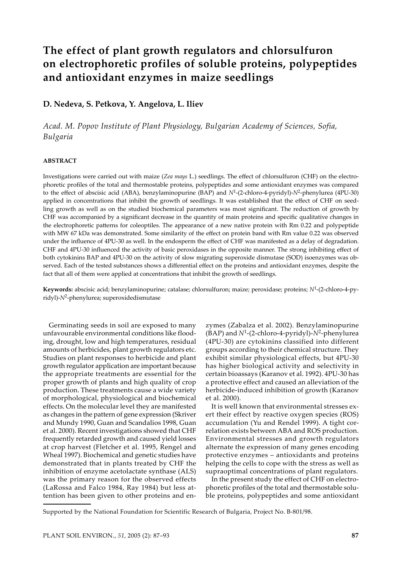# **The effect of plant growth regulators and chlorsulfuron on electrophoretic profiles of soluble proteins, polypeptides and antioxidant enzymes in maize seedlings**

# **D. Nedeva, S. Petkova, Y. Angelova, L. Iliev**

*Acad. M. Popov Institute of Plant Physiology, Bulgarian Academy of Sciences, Sofia, Bulgaria*

## **ABSTRACT**

Investigations were carried out with maize (*Zea mays* L.) seedlings. The effect of chlorsulfuron (CHF) on the electrophoretic profiles of the total and thermostable proteins, polypeptides and some antioxidant enzymes was compared to the effect of abscisic acid (ABA), benzylaminopurine (BAP) and *N*1-(2-chloro-4-pyridyl)-*N*2-phenylurea (4PU-30) applied in concentrations that inhibit the growth of seedlings. It was established that the effect of CHF on seedling growth as well as on the studied biochemical parameters was most significant. The reduction of growth by CHF was accompanied by a significant decrease in the quantity of main proteins and specific qualitative changes in the electrophoretic patterns for coleoptiles. The appearance of a new native protein with Rm 0.22 and polypeptide with MW 67 kDa was demonstrated. Some similarity of the effect on protein band with Rm value 0.22 was observed under the influence of 4PU-30 as well. In the endosperm the effect of CHF was manifested as a delay of degradation. CHF and 4PU-30 influenced the activity of basic peroxidases in the opposite manner. The strong inhibiting effect of both cytokinins BAP and 4PU-30 on the activity of slow migrating superoxide dismutase (SOD) isoenzymes was observed. Each of the tested substances shows a differential effect on the proteins and antioxidant enzymes, despite the fact that all of them were applied at concentrations that inhibit the growth of seedlings.

**Keywords:** abscisic acid; benzylaminopurine; catalase; chlorsulfuron; maize; peroxidase; proteins; *N*1-(2-chloro-4-pyridyl)-*N*2-phenylurea; superoxidedismutase

Germinating seeds in soil are exposed to many unfavourable environmental conditions like flooding, drought, low and high temperatures, residual amounts of herbicides, plant growth regulators etc. Studies on plant responses to herbicide and plant growth regulator application are important because the appropriate treatments are essential for the proper growth of plants and high quality of crop production. These treatments cause a wide variety of morphological, physiological and biochemical effects. On the molecular level they are manifested as changes in the pattern of gene expression (Skriver and Mundy 1990, Guan and Scandalios 1998, Guan et al. 2000). Recent investigations showed that CHF frequently retarded growth and caused yield losses at crop harvest (Fletcher et al. 1995, Rengel and Wheal 1997). Biochemical and genetic studies have demonstrated that in plants treated by CHF the inhibition of enzyme acetolactate synthase (ALS) was the primary reason for the observed effects (LaRossa and Falco 1984, Ray 1984) but less attention has been given to other proteins and enzymes (Zabalza et al. 2002). Benzylaminopurine (BAP) and *N*1-(2-chloro-4-pyridyl)-*N*2-phenylurea (4PU-30) are cytokinins classified into different groups according to their chemical structure. They exhibit similar physiological effects, but 4PU-30 has higher biological activity and selectivity in certain bioassays (Karanov et al. 1992). 4PU-30 has a protective effect and caused an alleviation of the herbicide-induced inhibition of growth (Karanov et al. 2000).

It is well known that environmental stresses exert their effect by reactive oxygen species (ROS) accumulation (Yu and Rendel 1999). A tight correlation exists between ABA and ROS production. Environmental stresses and growth regulators alternate the expression of many genes encoding protective enzymes – antioxidants and proteins helping the cells to cope with the stress as well as supraoptimal concentrations of plant regulators.

In the present study the effect of CHF on electrophoretic profiles of the total and thermostable soluble proteins, polypeptides and some antioxidant

Supported by the National Foundation for Scientific Research of Bulgaria, Project No. B-801/98.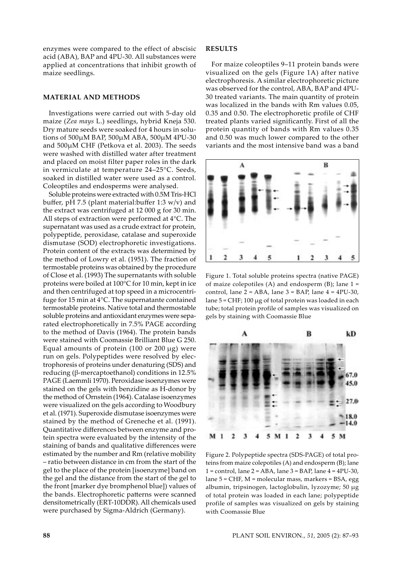enzymes were compared to the effect of abscisic acid (ABA), BAP and 4PU-30. All substances were applied at concentrations that inhibit growth of maize seedlings.

#### **MATERIAL AND METHODS**

Investigations were carried out with 5-day old maize (*Zea mays* L.) seedlings, hybrid Kneja 530. Dry mature seeds were soaked for 4 hours in solutions of 500µM BAP, 500µM ABA, 500µM 4PU-30 and 500µM CHF (Petkova et al. 2003). The seeds were washed with distilled water after treatment and placed on moist filter paper roles in the dark in vermiculate at temperature 24–25°C. Seeds, soaked in distilled water were used as a control. Coleoptiles and endosperms were analysed.

Soluble proteins were extracted with 0.5M Tris-HCl buffer, pH 7.5 (plant material:buffer 1:3 w/v) and the extract was centrifuged at 12 000 g for 30 min. All steps of extraction were performed at 4°C. The supernatant was used as a crude extract for protein, polypeptide, peroxidase, catalase and superoxide dismutase (SOD) electrophoretic investigations. Protein content of the extracts was determined by the method of Lowry et al. (1951). The fraction of termostable proteins was obtained by the procedure of Close et al. (1993) The supernatants with soluble proteins were boiled at 100°C for 10 min, kept in ice and then centrifuged at top speed in a microcentrifuge for 15 min at 4°C. The supernatante contained termostable proteins. Native total and thermostable soluble proteins and antioxidant enzymes were separated electrophoretically in 7.5% PAGE according to the method of Davis (1964). The protein bands were stained with Coomassie Brilliant Blue G 250. Equal amounts of protein  $(100 \text{ or } 200 \mu g)$  were run on gels. Polypeptides were resolved by electrophoresis of proteins under denaturing (SDS) and reducing (β-mercaptoethanol) conditions in 12.5% PAGE (Laemmli 1970). Peroxidase isoenzymes were stained on the gels with benzidine as H-donor by the method of Ornstein (1964). Catalase isoenzymes were visualized on the gels according to Woodbury et al. (1971). Superoxide dismutase isoenzymes were stained by the method of Greneche et al. (1991). Quantitative differences between enzyme and protein spectra were evaluated by the intensity of the staining of bands and qualitative differences were estimated by the number and Rm (relative mobility – ratio between distance in cm from the start of the gel to the place of the protein [isoenzyme] band on the gel and the distance from the start of the gel to the front [marker dye bromphenol blue]) values of the bands. Electrophoretic patterns were scanned densitometrically (ERT-10DDR). All chemicals used were purchased by Sigma-Aldrich (Germany).

#### **RESULTS**

For maize coleoptiles 9–11 protein bands were visualized on the gels (Figure 1A) after native electrophoresis. A similar electrophoretic picture was observed for the control, ABA, BAP and 4PU-30 treated variants. The main quantity of protein was localized in the bands with Rm values 0.05, 0.35 and 0.50. The electrophoretic profile of CHF treated plants varied significantly. First of all the protein quantity of bands with Rm values 0.35 and 0.50 was much lower compared to the other variants and the most intensive band was a band



Figure 1. Total soluble proteins spectra (native PAGE) of maize colepotiles (A) and endosperm  $(B)$ ; lane  $1 =$ control, lane  $2 = ABA$ , lane  $3 = BAP$ , lane  $4 = APU-30$ , lane 5 = CHF; 100 µg of total protein was loaded in each tube; total protein profile of samples was visualized on gels by staining with Coomassie Blue



Figure 2. Polypeptide spectra (SDS-PAGE) of total proteins from maize colepotiles (A) and endosperm (B); lane  $1 =$  control, lane  $2 =$  ABA, lane  $3 =$  BAP, lane  $4 =$  4PU-30, lane 5 = CHF, M = molecular mass, markers = BSA, egg albumin, tripsinogen, lactoglobulin, lyzozyme; 50 µg of total protein was loaded in each lane; polypeptide profile of samples was visualized on gels by staining with Coomassie Blue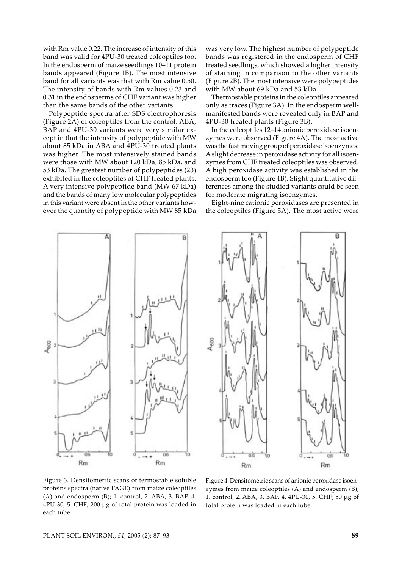with Rm value 0.22. The increase of intensity of this band was valid for 4PU-30 treated coleoptiles too. In the endosperm of maize seedlings 10–11 protein bands appeared (Figure 1B). The most intensive band for all variants was that with Rm value 0.50. The intensity of bands with Rm values 0.23 and 0.31 in the endosperms of CHF variant was higher than the same bands of the other variants.

Polypeptide spectra after SDS electrophoresis (Figure 2A) of coleoptiles from the control, ABA, BAP and 4PU-30 variants were very similar except in that the intensity of polypeptide with MW about 85 kDa in ABA and 4PU-30 treated plants was higher. The most intensively stained bands were those with MW about 120 kDa, 85 kDa, and 53 kDa. The greatest number of polypeptides (23) exhibited in the coleoptiles of CHF treated plants. A very intensive polypeptide band (MW 67 kDa) and the bands of many low molecular polypeptides in this variant were absent in the other variants however the quantity of polypeptide with MW 85 kDa

was very low. The highest number of polypeptide bands was registered in the endosperm of CHF treated seedlings, which showed a higher intensity of staining in comparison to the other variants (Figure 2B). The most intensive were polypeptides with MW about 69 kDa and 53 kDa.

Thermostable proteins in the coleoptiles appeared only as traces (Figure 3A). In the endosperm wellmanifested bands were revealed only in BAP and 4PU-30 treated plants (Figure 3B).

In the coleoptiles 12–14 anionic peroxidase isoenzymes were observed (Figure 4A). The most active was the fast moving group of peroxidase isoenzymes. A slight decrease in peroxidase activity for all isoenzymes from CHF treated coleoptiles was observed. A high peroxidase activity was established in the endosperm too (Figure 4B). Slight quantitative differences among the studied variants could be seen for moderate migrating isoenzymes.

Eight-nine cationic peroxidases are presented in the coleoptiles (Figure 5A). The most active were





Figure 3. Densitometric scans of termostable soluble proteins spectra (native PAGE) from maize coleoptiles (A) and endosperm (B); 1. control, 2. ABA, 3. BAP, 4. 4PU-30, 5. CHF; 200 µg of total protein was loaded in each tube

Figure 4. Densitometric scans of anionic peroxidase isoenzymes from maize coleoptiles (A) and endosperm (B); 1. control, 2. ABA, 3. BAP, 4. 4PU-30, 5. CHF; 50 µg of total protein was loaded in each tube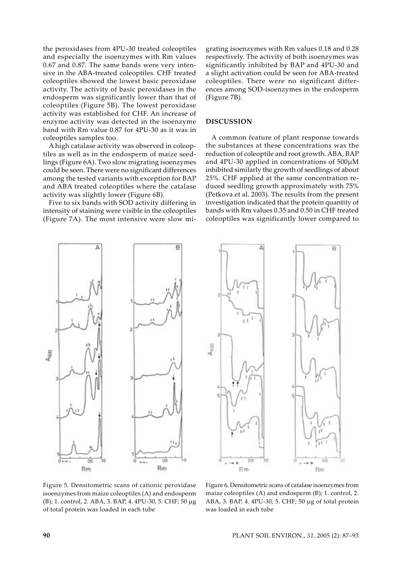the peroxidases from 4PU-30 treated coleoptiles and especially the isoenzymes with Rm values 0.67 and 0.87. The same bands were very intensive in the ABA-treated coleoptiles. CHF treated coleoptiles showed the lowest basic peroxidase activity. The activity of basic peroxidases in the endosperm was significantly lower than that of coleoptiles (Figure 5B). The lowest peroxidase activity was established for CHF. An increase of enzyme activity was detected in the isoenzyme band with Rm value 0.87 for 4PU-30 as it was in coleoptiles samples too.

A high catalase activity was observed in coleoptiles as well as in the endosperm of maize seedlings (Figure 6A). Two slow migrating isoenzymes could be seen. There were no significant differences among the tested variants with exception for BAP and ABA treated coleoptiles where the catalase activity was slightly lower (Figure 6B).

Five to six bands with SOD activity differing in intensity of staining were visible in the coleoptiles (Figure 7A). The most intensive were slow mi-

grating isoenzymes with Rm values 0.18 and 0.28 respectively. The activity of both isoenzymes was significantly inhibited by BAP and 4PU-30 and a slight activation could be seen for ABA-treated coleoptiles. There were no significant differences among SOD-isoenzymes in the endosperm (Figure 7B).

## **DISCUSSION**

A common feature of plant response towards the substances at these concentrations was the reduction of coleoptile and root growth. ABA, BAP and 4PU-30 applied in concentrations of 500µM inhibited similarly the growth of seedlings of about 25%. CHF applied at the same concentration reduced seedling growth approximately with 75% (Petkova et al*.* 2003). The results from the present investigation indicated that the protein quantity of bands with Rm values 0.35 and 0.50 in CHF treated coleoptiles was significantly lower compared to





Figure 5. Densitometric scans of cationic peroxidase isoenzymes from maize coleoptiles (A) and endosperm (B); 1. control, 2. ABA, 3. BAP, 4. 4PU-30, 5. CHF; 50 µg of total protein was loaded in each tube

Figure 6. Densitometric scans of catalase isoenzymes from maize coleoptiles (A) and endosperm (B); 1. control, 2. ABA, 3. BAP, 4. 4PU-30, 5. CHF; 50 µg of total protein was loaded in each tube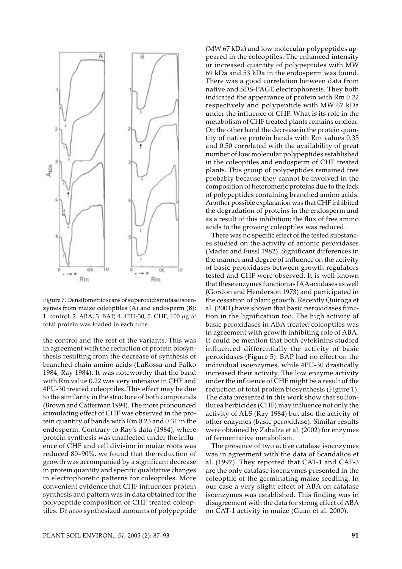

Figure 7. Densitometric scans of superoxidismutase isoenzymes from maize coleoptiles (A) and endosperm (B); 1. control, 2. ABA, 3. BAP, 4. 4PU-30, 5. CHF; 100 µg of total protein was loaded in each tube

the control and the rest of the variants. This was in agreement with the reduction of protein biosynthesis resulting from the decrease of synthesis of branched chain amino acids (LaRossa and Falko 1984, Ray 1984). It was noteworthy that the band with Rm value 0.22 was very intensive in CHF and 4PU-30 treated coleoptiles. This effect may be due to the similarity in the structure of both compounds (Brown and Catterman 1994). The more pronounced stimulating effect of CHF was observed in the protein quantity of bands with Rm 0.23 and 0.31 in the endosperm. Contrary to Ray's data (1984), where protein synthesis was unaffected under the influence of CHF and cell division in maize roots was reduced 80–90%, we found that the reduction of growth was accompanied by a significant decrease in protein quantity and specific qualitative changes in electrophoretic patterns for coleoptiles. More convenient evidence that CHF influences protein synthesis and pattern was in data obtained for the polypeptide composition of CHF treated coleoptiles. *De novo* synthesized amounts of polypeptide

(MW 67 kDa) and low molecular polypeptides appeared in the coleoptiles. The enhanced intensity or increased quantity of polypeptides with MW 69 kDa and 53 kDa in the endosperm was found. There was a good correlation between data from native and SDS-PAGE electrophoresis. They both indicated the appearance of protein with Rm 0.22 respectively and polypeptide with MW 67 kDa under the influence of CHF. What is its role in the metabolism of CHF treated plants remains unclear. On the other hand the decrease in the protein quantity of native protein bands with Rm values 0.35 and 0.50 correlated with the availability of great number of low molecular polypeptides established in the coleoptiles and endosperm of CHF treated plants. This group of polypeptides remained free probably because they cannot be involved in the composition of heteromeric proteins due to the lack of polypeptides containing branched amino acids. Another possible explanation was that CHF inhibited the degradation of proteins in the endosperm and as a result of this inhibition; the flux of free amino acids to the growing coleoptiles was reduced.

There was no specific effect of the tested substances studied on the activity of anionic peroxidases (Mader and Fussl 1982). Significant differences in the manner and degree of influence on the activity of basic peroxidases between growth regulators tested and CHF were observed. It is well known that these enzymes function as IAA-oxidases as well (Gordon and Henderson 1973) and participated in the cessation of plant growth. Recently Quiroga et al. (2001) have shown that basic peroxidases function in the lignification too. The high activity of basic peroxidases in ABA treated coleoptiles was in agreement with growth inhibiting role of ABA. It could be mention that both cytokinins studied influenced differentially the activity of basic peroxidases (Figure 5). BAP had no effect on the individual isoenzymes, while 4PU-30 drastically increased their activity. The low enzyme activity under the influence of CHF might be a result of the reduction of total protein biosynthesis (Figure 1). The data presented in this work show that sulfonilurea herbicides (CHF) may influence not only the activity of ALS (Ray 1984) but also the activity of other enzymes (basic peroxidase). Similar results were obtained by Zabalza et al*.* (2002) for enzymes of fermentative metabolism.

The presence of two active catalase isoenzymes was in agreement with the data of Scandalios et al. (1997). They reported that CAT-1 and CAT-3 are the only catalase isoenzymes presented in the coleoptile of the germinating maize seedling. In our case a very slight effect of ABA on catalase isoenzymes was established. This finding was in disagreement with the data for strong effect of ABA on CAT-1 activity in maize (Guan et al. 2000).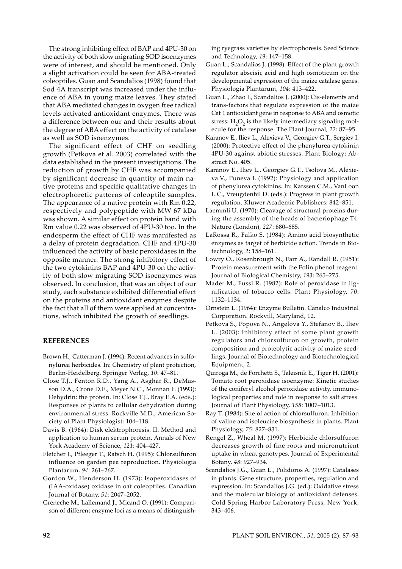The strong inhibiting effect of BAP and 4PU-30 on the activity of both slow migrating SOD isoenzymes were of interest, and should be mentioned. Only a slight activation could be seen for ABA-treated coleoptiles. Guan and Scandalios (1998) found that Sod 4A transcript was increased under the influence of ABA in young maize leaves. They stated that ABA mediated changes in oxygen free radical levels activated antioxidant enzymes. There was a difference between our and their results about the degree of ABA effect on the activity of catalase as well as SOD isoenzymes.

The significant effect of CHF on seedling growth (Petkova et al. 2003) correlated with the data established in the present investigations. The reduction of growth by CHF was accompanied by significant decrease in quantity of main native proteins and specific qualitative changes in electrophoretic patterns of coleoptile samples. The appearance of a native protein with Rm 0.22, respectively and polypeptide with MW 67 kDa was shown. A similar effect on protein band with Rm value 0.22 was observed of 4PU-30 too. In the endosperm the effect of CHF was manifested as a delay of protein degradation. CHF and 4PU-30 influenced the activity of basic peroxidases in the opposite manner. The strong inhibitory effect of the two cytokinins BAP and 4PU-30 on the activity of both slow migrating SOD isoenzymes was observed. In conclusion, that was an object of our study, each substance exhibited differential effect on the proteins and antioxidant enzymes despite the fact that all of them were applied at concentrations, which inhibited the growth of seedlings.

### **REFERENCES**

- Brown H., Catterman J. (1994): Recent advances in sulfonylurea herbicides. In: Chemistry of plant protection, Berlin-Heidelberg, Springer Verlag, *10*: 47–81.
- Close T.J., Fenton R.D., Yang A., Asghar R., DeMasson D.A., Crone D.E., Meyer N.C., Monnan F. (1993): Dehydrin: the protein. In: Close T.J., Bray E.A. (eds.): Responses of plants to cellular dehydration during environmental stress. Rockville M.D., American Society of Plant Physiologist: 104–118.
- Davis B. (1964): Disk elektrophoresis. II. Method and application to human serum protein. Annals of New York Academy of Science, *121*: 404–427.
- Fletcher J., Pfleeger T., Ratsch H. (1995): Chlorsulfuron influence on garden pea reproduction. Physiologia Plantarum, *94*: 261–267.
- Gordon W., Henderson H. (1973): Isoperoxidases of (IAA-oxidase) oxidase in oat coleoptiles. Canadian Journal of Botany, *51*: 2047–2052.
- Greneche M., Lallemand J., Micand O. (1991): Comparison of different enzyme loci as a means of distinguish-

ing ryegrass varieties by electrophoresis. Seed Science and Technology, *19*: 147–158.

- Guan L., Scandalios J. (1998): Effect of the plant growth regulator abscisic acid and high osmoticum on the developmental expression of the maize catalase genes. Physiologia Plantarum, *104*: 413–422.
- Guan L., Zhao J., Scandalios J. (2000): Cis-elements and trans-factors that regulate expression of the maize Cat 1 antioxidant gene in response to ABA and osmotic stress:  $H_2O_2$  is the likely intermediary signaling molecule for the response. The Plant Journal, *22*: 87–95.
- Karanov E., Iliev L., Alexieva V., Georgiev G.T., Sergiev I. (2000): Protective effect of the phenylurea cytokinin 4PU-30 against abiotic stresses. Plant Biology: Abstract No. 405.
- Karanov E., Iliev L., Georgiev G.T., Tsolova M., Alexieva V., Puneva I. (1992): Physiology and application of phenylurea cytokinins. In: Karssen C.M., VanLoon L.C., Vreugdenhil D. (eds.): Progress in plant growth regulation. Kluwer Academic Publishers: 842–851.
- Laemmli U. (1970): Cleavage of structural proteins during the assembly of the heads of bacteriophage T4. Nature (London), *227*: 680–685.
- LaRossa R., Falko S. (1984): Amino acid biosynthetic enzymes as target of herbicide action. Trends in Biotechnology, *2*: 158–161.
- Lowry O., Rosenbrough N., Farr A., Randall R. (1951): Protein measurement with the Folin phenol reagent. Journal of Biological Chemistry, *193*: 265–275.
- Mader M., Fussl R. (1982): Role of peroxidase in lignification of tobacco cells. Plant Physiology, *70*: 1132–1134.
- Ornstein L. (1964): Enzyme Bulletin. Canalco Industrial Corporation. Rockvill, Maryland, 12.
- Petkova S., Popova N., Angelova Y., Stefanov B., Iliev L. (2003): Inhibitory effect of some plant growth regulators and chlorsulfuron on growth, protein composition and proteolytic activity of maize seedlings. Journal of Biotechnology and Biotechnological Equipment, 2.
- Quiroga M., de Forchetti S., Taleisnik E., Tiger H. (2001): Tomato root peroxidase isoenzyme: Kinetic studies of the coniferyl alcohol peroxidase activity, immunological properties and role in response to salt stress. Journal of Plant Physiology, *158*: 1007–1013.
- Ray T. (1984): Site of action of chlorsulfuron. Inhibition of valine and isoleucine biosynthesis in plants. Plant Physiology, *75*: 827–831.
- Rengel Z., Wheal M. (1997): Herbicide chlorsulfuron decreases growth of fine roots and micronutrient uptake in wheat genotypes. Journal of Experimental Botany, *48*: 927–934.
- Scandalios J.G., Guan L., Polidoros A. (1997): Catalases in plants. Gene structure, properties, regulation and expression. In: Scandalios J.G. (ed.): Oxidative stress and the molecular biology of antioxidant defenses. Cold Spring Harbor Laboratory Press, New York: 343–406.